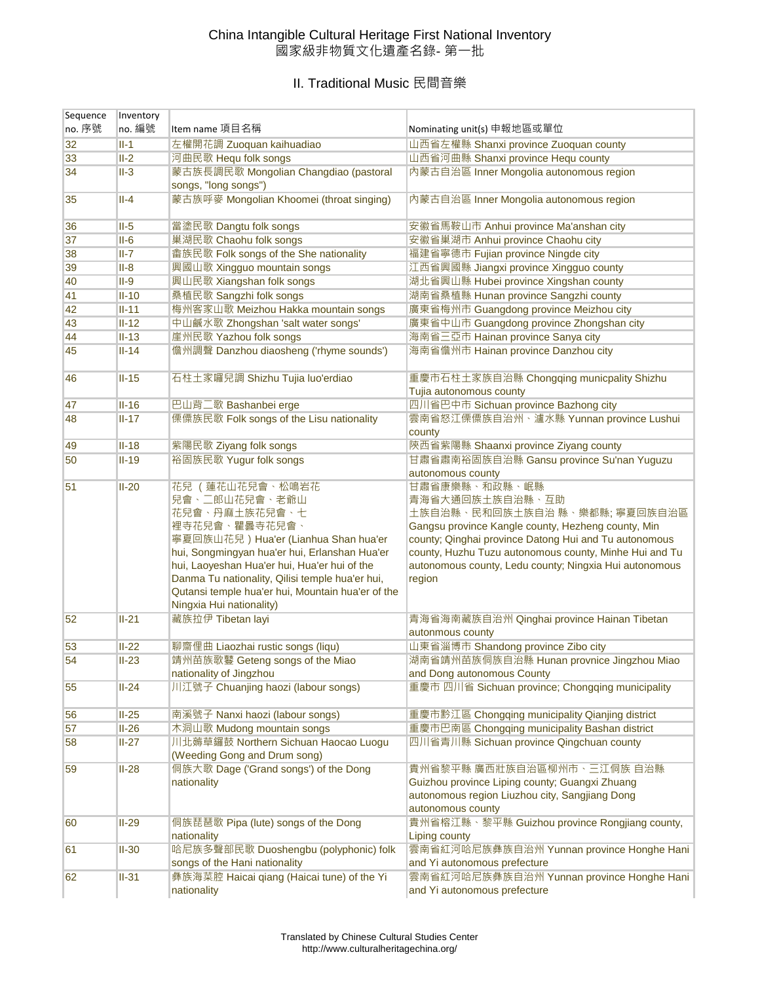### China Intangible Cultural Heritage First National Inventory 國家級非物質文化遺產名錄- 第一批

# II. Traditional Music 民間音樂

| Sequence | Inventory          |                                                                                                                                                                                                                                                                                                                                                                      |                                                                                                                                                                                                                                                                                                                                                              |
|----------|--------------------|----------------------------------------------------------------------------------------------------------------------------------------------------------------------------------------------------------------------------------------------------------------------------------------------------------------------------------------------------------------------|--------------------------------------------------------------------------------------------------------------------------------------------------------------------------------------------------------------------------------------------------------------------------------------------------------------------------------------------------------------|
| no. 序號   | no. 編號             | Item name 項目名稱                                                                                                                                                                                                                                                                                                                                                       | Nominating unit(s) 申報地區或單位                                                                                                                                                                                                                                                                                                                                   |
| 32       | $II-1$             | 左權開花調 Zuoquan kaihuadiao                                                                                                                                                                                                                                                                                                                                             | 山西省左權縣 Shanxi province Zuoquan county                                                                                                                                                                                                                                                                                                                        |
| 33       | $II-2$             | 河曲民歌 Hequ folk songs                                                                                                                                                                                                                                                                                                                                                 | 山西省河曲縣 Shanxi province Hequ county                                                                                                                                                                                                                                                                                                                           |
| 34       | $II-3$             | 蒙古族長調民歌 Mongolian Changdiao (pastoral<br>songs, "long songs")                                                                                                                                                                                                                                                                                                        | 內蒙古自治區 Inner Mongolia autonomous region                                                                                                                                                                                                                                                                                                                      |
| 35       | $II-4$             | 蒙古族呼麥 Mongolian Khoomei (throat singing)                                                                                                                                                                                                                                                                                                                             | 内蒙古自治區 Inner Mongolia autonomous region                                                                                                                                                                                                                                                                                                                      |
| 36       | $II-5$             | 當塗民歌 Dangtu folk songs                                                                                                                                                                                                                                                                                                                                               | 安徽省馬鞍山市 Anhui province Ma'anshan city                                                                                                                                                                                                                                                                                                                        |
| 37       | $II-6$             | 巢湖民歌 Chaohu folk songs                                                                                                                                                                                                                                                                                                                                               | 安徽省巢湖市 Anhui province Chaohu city                                                                                                                                                                                                                                                                                                                            |
| 38       | $II - 7$           | 畬族民歌 Folk songs of the She nationality                                                                                                                                                                                                                                                                                                                               | 福建省寧德市 Fujian province Ningde city                                                                                                                                                                                                                                                                                                                           |
| 39       | $II-8$             | 興國山歌 Xingguo mountain songs                                                                                                                                                                                                                                                                                                                                          | 江西省興國縣 Jiangxi province Xingguo county                                                                                                                                                                                                                                                                                                                       |
| 40       | $II-9$             | 興山民歌 Xiangshan folk songs                                                                                                                                                                                                                                                                                                                                            | 湖北省興山縣 Hubei province Xingshan county                                                                                                                                                                                                                                                                                                                        |
| 41       | $II-10$            | 桑植民歌 Sangzhi folk songs                                                                                                                                                                                                                                                                                                                                              | 湖南省桑植縣 Hunan province Sangzhi county                                                                                                                                                                                                                                                                                                                         |
| 42       | $II-11$            | 梅州客家山歌 Meizhou Hakka mountain songs                                                                                                                                                                                                                                                                                                                                  | 廣東省梅州市 Guangdong province Meizhou city                                                                                                                                                                                                                                                                                                                       |
| 43       | $II-12$            | 中山鹹水歌 Zhongshan 'salt water songs'                                                                                                                                                                                                                                                                                                                                   | 廣東省中山市 Guangdong province Zhongshan city                                                                                                                                                                                                                                                                                                                     |
| 44       | $II-13$            | 崖州民歌 Yazhou folk songs                                                                                                                                                                                                                                                                                                                                               | 海南省三亞市 Hainan province Sanya city                                                                                                                                                                                                                                                                                                                            |
| 45       | $II-14$            | 儋州調聲 Danzhou diaosheng ('rhyme sounds')                                                                                                                                                                                                                                                                                                                              | 海南省儋州市 Hainan province Danzhou city                                                                                                                                                                                                                                                                                                                          |
| 46       | $II-15$            | 石柱土家囉兒調 Shizhu Tujia luo'erdiao                                                                                                                                                                                                                                                                                                                                      | 重慶市石柱土家族自治縣 Chongqing municpality Shizhu<br>Tujia autonomous county                                                                                                                                                                                                                                                                                          |
| 47       | $II-16$            | 巴山背二歌 Bashanbei erge                                                                                                                                                                                                                                                                                                                                                 | 四川省巴中市 Sichuan province Bazhong city                                                                                                                                                                                                                                                                                                                         |
| 48       | $II-17$            | 傈僳族民歌 Folk songs of the Lisu nationality                                                                                                                                                                                                                                                                                                                             | 雲南省怒江傈僳族自治州、瀘水縣 Yunnan province Lushui<br>county                                                                                                                                                                                                                                                                                                             |
| 49       | $II-18$            | 紫陽民歌 Ziyang folk songs                                                                                                                                                                                                                                                                                                                                               | 陝西省紫陽縣 Shaanxi province Ziyang county                                                                                                                                                                                                                                                                                                                        |
| 50       | $II-19$            | 裕固族民歌 Yugur folk songs                                                                                                                                                                                                                                                                                                                                               | 甘肅省肅南裕固族自治縣 Gansu province Su'nan Yuguzu<br>autonomous county                                                                                                                                                                                                                                                                                                |
| 51<br>52 | $II-20$<br>$II-21$ | 花兒 (蓮花山花兒會、松鳴岩花<br>兒會、二郎山花兒會、老爺山<br>花兒會、丹麻土族花兒會、七<br>裡寺花兒會、瞿曇寺花兒會、<br>寧夏回族山花兒) Hua'er (Lianhua Shan hua'er<br>hui, Songmingyan hua'er hui, Erlanshan Hua'er<br>hui, Laoyeshan Hua'er hui, Hua'er hui of the<br>Danma Tu nationality, Qilisi temple hua'er hui,<br>Qutansi temple hua'er hui, Mountain hua'er of the<br>Ningxia Hui nationality)<br>藏族拉伊 Tibetan layi | 甘肅省康樂縣、和政縣、岷縣<br>青海省大通回族土族自治縣、互助<br>土族自治縣、民和回族土族自治 縣、樂都縣; 寧夏回族自治區<br>Gangsu province Kangle county, Hezheng county, Min<br>county; Qinghai province Datong Hui and Tu autonomous<br>county, Huzhu Tuzu autonomous county, Minhe Hui and Tu<br>autonomous county, Ledu county; Ningxia Hui autonomous<br>region<br>青海省海南藏族自治州 Qinghai province Hainan Tibetan |
|          |                    |                                                                                                                                                                                                                                                                                                                                                                      | autonmous county                                                                                                                                                                                                                                                                                                                                             |
| 53       | $II-22$            | 聊齋俚曲 Liaozhai rustic songs (liqu)                                                                                                                                                                                                                                                                                                                                    | 山東省淄博市 Shandong province Zibo city                                                                                                                                                                                                                                                                                                                           |
| 54       | $II-23$            | 靖州苗族歌鼟 Geteng songs of the Miao<br>nationality of Jingzhou                                                                                                                                                                                                                                                                                                           | 湖南省靖州苗族侗族自治縣 Hunan provnice Jingzhou Miao<br>and Dong autonomous County                                                                                                                                                                                                                                                                                      |
| 55       | $II-24$            | 川江號子 Chuanjing haozi (labour songs)                                                                                                                                                                                                                                                                                                                                  | 重慶市 四川省 Sichuan province; Chongqing municipality                                                                                                                                                                                                                                                                                                             |
| 56       | $II-25$            | 南溪號子 Nanxi haozi (labour songs)                                                                                                                                                                                                                                                                                                                                      | 重慶市黔江區 Chongqing municipality Qianjing district                                                                                                                                                                                                                                                                                                              |
| 57       | $II-26$            | 木洞山歌 Mudong mountain songs                                                                                                                                                                                                                                                                                                                                           | 重慶市巴南區 Chongqing municipality Bashan district                                                                                                                                                                                                                                                                                                                |
| 58       | $II-27$            | 川北薅草鑼鼓 Northern Sichuan Haocao Luogu<br>(Weeding Gong and Drum song)                                                                                                                                                                                                                                                                                                 | 四川省青川縣 Sichuan province Qingchuan county                                                                                                                                                                                                                                                                                                                     |
| 59       | $II-28$            | 侗族大歌 Dage ('Grand songs') of the Dong<br>nationality                                                                                                                                                                                                                                                                                                                 | 貴州省黎平縣 廣西壯族自治區柳州市、三江侗族 自治縣<br>Guizhou province Liping county; Guangxi Zhuang<br>autonomous region Liuzhou city, Sangjiang Dong<br>autonomous county                                                                                                                                                                                                          |
| 60       | $II-29$            | 侗族琵琶歌 Pipa (lute) songs of the Dong<br>nationality                                                                                                                                                                                                                                                                                                                   | 貴州省榕江縣、黎平縣 Guizhou province Rongjiang county,<br>Liping county                                                                                                                                                                                                                                                                                               |
| 61       | $II-30$            | 哈尼族多聲部民歌 Duoshengbu (polyphonic) folk<br>songs of the Hani nationality                                                                                                                                                                                                                                                                                               | 雲南省紅河哈尼族彝族自治州 Yunnan province Honghe Hani<br>and Yi autonomous prefecture                                                                                                                                                                                                                                                                                    |
| 62       | $II-31$            | 彝族海菜腔 Haicai qiang (Haicai tune) of the Yi<br>nationality                                                                                                                                                                                                                                                                                                            | 雲南省紅河哈尼族彝族自治州 Yunnan province Honghe Hani<br>and Yi autonomous prefecture                                                                                                                                                                                                                                                                                    |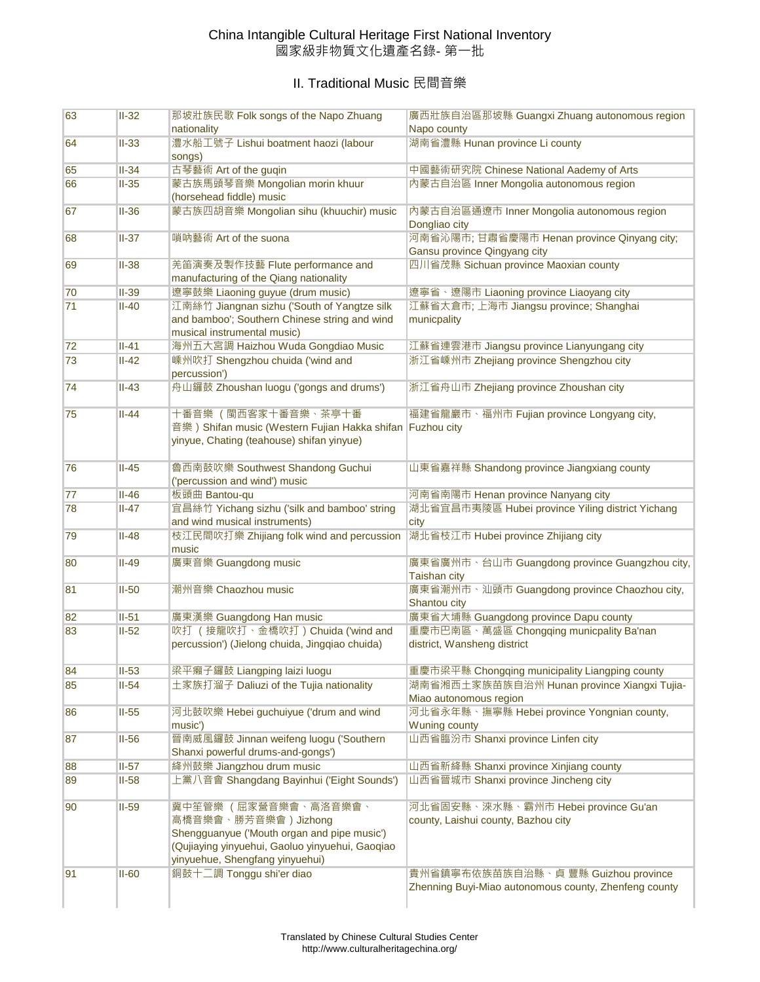## China Intangible Cultural Heritage First National Inventory 國家級非物質文化遺產名錄- 第一批

## II. Traditional Music 民間音樂

| 63 | $II-32$ | 那坡壯族民歌 Folk songs of the Napo Zhuang<br>nationality                                                                                                                               | 廣西壯族自治區那坡縣 Guangxi Zhuang autonomous region<br>Napo county                                   |
|----|---------|-----------------------------------------------------------------------------------------------------------------------------------------------------------------------------------|----------------------------------------------------------------------------------------------|
| 64 | $II-33$ | 澧水船工號子 Lishui boatment haozi (labour<br>songs)                                                                                                                                    | 湖南省澧縣 Hunan province Li county                                                               |
| 65 | $II-34$ | 古琴藝術 Art of the guqin                                                                                                                                                             | 中國藝術研究院 Chinese National Aademy of Arts                                                      |
| 66 | $II-35$ | 蒙古族馬頭琴音樂 Mongolian morin khuur<br>(horsehead fiddle) music                                                                                                                        | 內蒙古自治區 Inner Mongolia autonomous region                                                      |
| 67 | $II-36$ | 蒙古族四胡音樂 Mongolian sihu (khuuchir) music                                                                                                                                           | 内蒙古自治區通遼市 Inner Mongolia autonomous region<br>Dongliao city                                  |
| 68 | $II-37$ | 嗩吶藝術 Art of the suona                                                                                                                                                             | 河南省沁陽市;甘肅省慶陽市 Henan province Qinyang city;<br>Gansu province Qingyang city                   |
| 69 | $II-38$ | 羌笛演奏及製作技藝 Flute performance and<br>manufacturing of the Qiang nationality                                                                                                         | 四川省茂縣 Sichuan province Maoxian county                                                        |
| 70 | $II-39$ | 遼寧鼓樂 Liaoning guyue (drum music)                                                                                                                                                  | 遼寧省、遼陽市 Liaoning province Liaoyang city                                                      |
| 71 | $II-40$ | 江南絲竹 Jiangnan sizhu ('South of Yangtze silk<br>and bamboo'; Southern Chinese string and wind<br>musical instrumental music)                                                       | 江蘇省太倉市; 上海市 Jiangsu province; Shanghai<br>municpality                                        |
| 72 | $II-41$ | 海州五大宮調 Haizhou Wuda Gongdiao Music                                                                                                                                                | 江蘇省連雲港市 Jiangsu province Lianyungang city                                                    |
| 73 | $II-42$ | 嵊州吹打 Shengzhou chuida ('wind and<br>percussion')                                                                                                                                  | 浙江省嵊州市 Zhejiang province Shengzhou city                                                      |
| 74 | $II-43$ | 舟山鑼鼓 Zhoushan luogu ('gongs and drums')                                                                                                                                           | 浙江省舟山市 Zhejiang province Zhoushan city                                                       |
| 75 | $II-44$ | 十番音樂 (閩西客家十番音樂、茶亭十番<br>音樂) Shifan music (Western Fujian Hakka shifan Fuzhou city<br>yinyue, Chating (teahouse) shifan yinyue)                                                     | 福建省龍巖市、福州市 Fujian province Longyang city,                                                    |
| 76 | $II-45$ | 魯西南鼓吹樂 Southwest Shandong Guchui<br>('percussion and wind') music                                                                                                                 | 山東省嘉祥縣 Shandong province Jiangxiang county                                                   |
| 77 | $II-46$ | 板頭曲 Bantou-qu                                                                                                                                                                     | 河南省南陽市 Henan province Nanyang city                                                           |
| 78 | $II-47$ | 宜昌絲竹 Yichang sizhu ('silk and bamboo' string<br>and wind musical instruments)                                                                                                     | 湖北省宜昌市夷陵區 Hubei province Yiling district Yichang<br>city                                     |
| 79 | $II-48$ | 枝江民間吹打樂 Zhijiang folk wind and percussion 湖北省枝江市 Hubei province Zhijiang city<br>music                                                                                            |                                                                                              |
| 80 | $II-49$ | 廣東音樂 Guangdong music                                                                                                                                                              | 廣東省廣州市、台山市 Guangdong province Guangzhou city,<br><b>Taishan city</b>                         |
| 81 | $II-50$ | 潮州音樂 Chaozhou music                                                                                                                                                               | 廣東省潮州市、汕頭市 Guangdong province Chaozhou city,<br>Shantou city                                 |
| 82 | $II-51$ | 廣東漢樂 Guangdong Han music                                                                                                                                                          | 廣東省大埔縣 Guangdong province Dapu county                                                        |
| 83 | $II-52$ | 吹打 (接龍吹打、金橋吹打) Chuida ('wind and<br>percussion') (Jielong chuida, Jingqiao chuida)                                                                                                | 重慶市巴南區、萬盛區 Chongqing municpality Ba'nan<br>district, Wansheng district                       |
| 84 | $II-53$ | 梁平癩子鑼鼓 Liangping laizi luogu                                                                                                                                                      | 重慶市梁平縣 Chongqing municipality Liangping county                                               |
| 85 | $II-54$ | 土家族打溜子 Daliuzi of the Tujia nationality                                                                                                                                           | 湖南省湘西土家族苗族自治州 Hunan province Xiangxi Tujia-<br>Miao autonomous region                        |
| 86 | $II-55$ | 河北鼓吹樂 Hebei guchuiyue ('drum and wind<br>music')                                                                                                                                  | 河北省永年縣、撫寧縣 Hebei province Yongnian county,<br><b>Wuning county</b>                           |
| 87 | $II-56$ | 晉南威風鑼鼓 Jinnan weifeng luogu ('Southern<br>Shanxi powerful drums-and-gongs')                                                                                                       | 山西省臨汾市 Shanxi province Linfen city                                                           |
| 88 | $II-57$ | 絳州鼓樂 Jiangzhou drum music                                                                                                                                                         | 山西省新絳縣 Shanxi province Xinjiang county                                                       |
| 89 | $II-58$ | 上黨八音會 Shangdang Bayinhui ('Eight Sounds')                                                                                                                                         | 山西省晉城市 Shanxi province Jincheng city                                                         |
| 90 | $II-59$ | 冀中笙管樂 (屈家營音樂會、高洛音樂會、<br>高橋音樂會、勝芳音樂會) Jizhong<br>Shengguanyue ('Mouth organ and pipe music')<br>(Qujiaying yinyuehui, Gaoluo yinyuehui, Gaoqiao<br>yinyuehue, Shengfang yinyuehui) | 河北省固安縣、淶水縣、霸州市 Hebei province Gu'an<br>county, Laishui county, Bazhou city                   |
| 91 | $II-60$ | 銅鼓十二調 Tonggu shi'er diao                                                                                                                                                          | 貴州省鎮寧布依族苗族自治縣、貞 豐縣 Guizhou province<br>Zhenning Buyi-Miao autonomous county, Zhenfeng county |